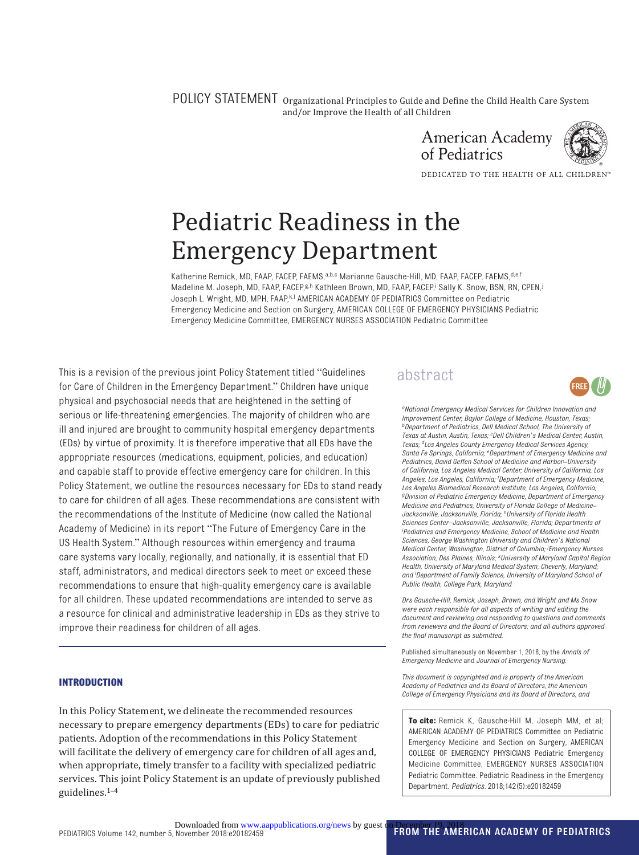POLICY STATEMENT Organizational Principles to Guide and Define the Child Health Care System and/or Improve the Health of all Children



DEDICATED TO THE HEALTH OF ALL CHILDREN'

# Pediatric Readiness in the Emergency Department

Katherine Remick, MD, FAAP, FACEP, FAEMS,ª.b.¢ Marianne Gausche-Hill, MD, FAAP, FACEP, FAEMS,<sup>d,e,f</sup> Madeline M. Joseph, MD, FAAP, FACEP,<sup>g,h</sup> Kathleen Brown, MD, FAAP, FACEP,<sup>i</sup> Sally K. Snow, BSN, RN, CPEN,<sup>j</sup> Joseph L. Wright, MD, MPH, FAAP,<sup>k,I</sup> AMERICAN ACADEMY OF PEDIATRICS Committee on Pediatric Emergency Medicine and Section on Surgery, AMERICAN COLLEGE OF EMERGENCY PHYSICIANS Pediatric Emergency Medicine Committee, EMERGENCY NURSES ASSOCIATION Pediatric Committee

This is a revision of the previous joint Policy Statement titled "Guidelines for Care of Children in the Emergency Department." Children have unique physical and psychosocial needs that are heightened in the setting of serious or life-threatening emergencies. The majority of children who are ill and injured are brought to community hospital emergency departments (EDs) by virtue of proximity. It is therefore imperative that all EDs have the appropriate resources (medications, equipment, policies, and education) and capable staff to provide effective emergency care for children. In this Policy Statement, we outline the resources necessary for EDs to stand ready to care for children of all ages. These recommendations are consistent with the recommendations of the Institute of Medicine (now called the National Academy of Medicine) in its report "The Future of Emergency Care in the US Health System." Although resources within emergency and trauma care systems vary locally, regionally, and nationally, it is essential that ED staff, administrators, and medical directors seek to meet or exceed these recommendations to ensure that high-quality emergency care is available for all children. These updated recommendations are intended to serve as a resource for clinical and administrative leadership in EDs as they strive to improve their readiness for children of all ages.

# abstract



*aNational Emergency Medical Services for Children Innovation and Improvement Center, Baylor College of Medicine, Houston, Texas; bDepartment of Pediatrics, Dell Medical School, The University of Texas at Austin, Austin, Texas; c Dell Children's Medical Center, Austin, Texas; dLos Angeles County Emergency Medical Services Agency, Santa Fe Springs, California; eDepartment of Emergency Medicine and Pediatrics, David Geffen School of Medicine and Harbor–University of California, Los Angeles Medical Center, University of California, Los Angeles, Los Angeles, California; f Department of Emergency Medicine, Los Angeles Biomedical Research Institute, Los Angeles, California; gDivision of Pediatric Emergency Medicine, Department of Emergency Medicine and Pediatrics, University of Florida College of Medicine– Jacksonville, Jacksonville, Florida; hUniversity of Florida Health Sciences Center–Jacksonville, Jacksonville, Florida; Departments of i Pediatrics and Emergency Medicine, School of Medicine and Health Sciences, George Washington University and Children's National Medical Center, Washington, District of Columbia; j Emergency Nurses Association, Des Plaines, Illinois; kUniversity of Maryland Capital Region Health, University of Maryland Medical System, Cheverly, Maryland; and l Department of Family Science, University of Maryland School of Public Health, College Park, Maryland*

*Drs Gausche-Hill, Remick, Joseph, Brown, and Wright and Ms Snow were each responsible for all aspects of writing and editing the document and reviewing and responding to questions and comments from reviewers and the Board of Directors; and all authors approved the final manuscript as submitted.*

Published simultaneously on November 1, 2018, by the *Annals of Emergency Medicine* and *Journal of Emergency Nursing*.

*This document is copyrighted and is property of the American Academy of Pediatrics and its Board of Directors, the American College of Emergency Physicians and its Board of Directors, and* 

**To cite:** Remick K, Gausche-Hill M, Joseph MM, et al; AMERICAN ACADEMY OF PEDIATRICS Committee on Pediatric Emergency Medicine and Section on Surgery, AMERICAN COLLEGE OF EMERGENCY PHYSICIANS Pediatric Emergency Medicine Committee, EMERGENCY NURSES ASSOCIATION Pediatric Committee. Pediatric Readiness in the Emergency Department. *Pediatrics.* 2018;142(5):e20182459

# **INTRODUCTION**

In this Policy Statement, we delineate the recommended resources necessary to prepare emergency departments (EDs) to care for pediatric patients. Adoption of the recommendations in this Policy Statement will facilitate the delivery of emergency care for children of all ages and, when appropriate, timely transfer to a facility with specialized pediatric services. This joint Policy Statement is an update of previously published guidelines. [1](#page-10-0)–[4](#page-10-1)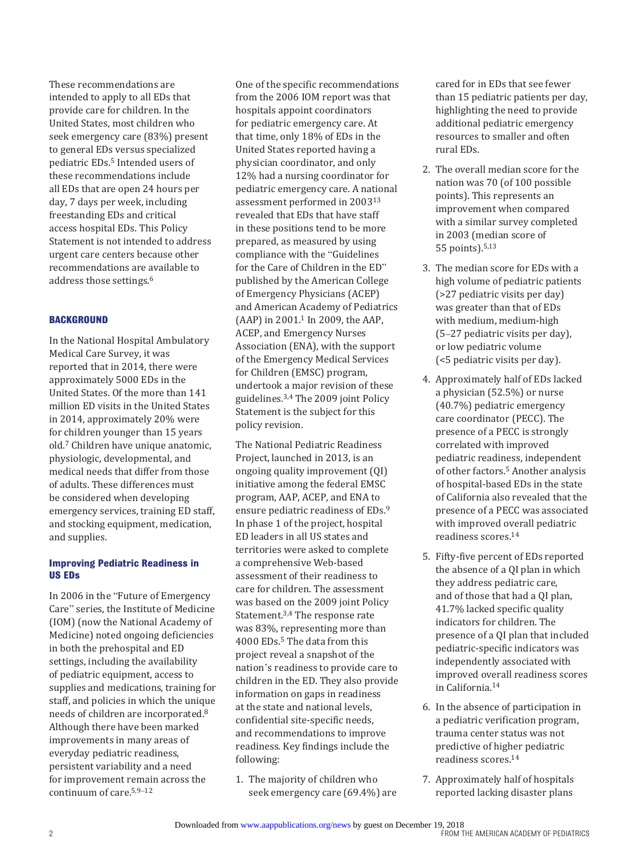These recommendations are intended to apply to all EDs that provide care for children. In the United States, most children who seek emergency care (83%) present to general EDs versus specialized pediatric EDs. [5](#page-10-2) Intended users of these recommendations include all EDs that are open 24 hours per day, 7 days per week, including freestanding EDs and critical access hospital EDs. This Policy Statement is not intended to address urgent care centers because other recommendations are available to address those settings. [6](#page-10-3)

# **BACKGROUND**

In the National Hospital Ambulatory Medical Care Survey, it was reported that in 2014, there were approximately 5000 EDs in the United States. Of the more than 141 million ED visits in the United States in 2014, approximately 20% were for children younger than 15 years old. [7](#page-11-0) Children have unique anatomic, physiologic, developmental, and medical needs that differ from those of adults. These differences must be considered when developing emergency services, training ED staff, and stocking equipment, medication, and supplies.

#### **Improving Pediatric Readiness in US EDs**

In 2006 in the "Future of Emergency Care" series, the Institute of Medicine (IOM) (now the National Academy of Medicine) noted ongoing deficiencies in both the prehospital and ED settings, including the availability of pediatric equipment, access to supplies and medications, training for staff, and policies in which the unique needs of children are incorporated. [8](#page-11-1) Although there have been marked improvements in many areas of everyday pediatric readiness, persistent variability and a need for improvement remain across the continuum of care. [5](#page-10-2),[9](#page-11-2)–[12](#page-11-3)

One of the specific recommendations from the 2006 IOM report was that hospitals appoint coordinators for pediatric emergency care. At that time, only 18% of EDs in the United States reported having a physician coordinator, and only 12% had a nursing coordinator for pediatric emergency care. A national assessment performed in 200[3](#page-11-4)[13](#page-11-4) revealed that EDs that have staff in these positions tend to be more prepared, as measured by using compliance with the "Guidelines for the Care of Children in the ED" published by the American College of Emergency Physicians (ACEP) and American Academy of Pediatrics (AAP) in 2001. [1](#page-10-0) In 2009, the AAP, ACEP, and Emergency Nurses Association (ENA), with the support of the Emergency Medical Services for Children (EMSC) program, undertook a major revision of these guidelines. [3](#page-10-4),[4](#page-10-1) The 2009 joint Policy Statement is the subject for this policy revision.

The National Pediatric Readiness Project, launched in 2013, is an ongoing quality improvement (QI) initiative among the federal EMSC program, AAP, ACEP, and ENA to ensure pediatric readiness of EDs. [9](#page-11-2) In phase 1 of the project, hospital ED leaders in all US states and territories were asked to complete a comprehensive Web-based assessment of their readiness to care for children. The assessment was based on the 2009 joint Policy Statement. [3](#page-10-4)[,4](#page-10-1) The response rate was 83%, representing more than 4000 EDs. [5](#page-10-2) The data from this project reveal a snapshot of the nation's readiness to provide care to children in the ED. They also provide information on gaps in readiness at the state and national levels, confidential site-specific needs, and recommendations to improve readiness. Key findings include the following:

1. The majority of children who seek emergency care (69.4%) are

cared for in EDs that see fewer than 15 pediatric patients per day, highlighting the need to provide additional pediatric emergency resources to smaller and often rural EDs.

- 2. The overall median score for the nation was 70 (of 100 possible points). This represents an improvement when compared with a similar survey completed in 2003 (median score of [5](#page-10-2)5 points).<sup>5,[13](#page-11-4)</sup>
- 3. The median score for EDs with a high volume of pediatric patients (>27 pediatric visits per day) was greater than that of EDs with medium, medium-high (5–27 pediatric visits per day), or low pediatric volume (<5 pediatric visits per day).
- 4. Approximately half of EDs lacked a physician (52.5%) or nurse (40.7%) pediatric emergency care coordinator (PECC). The presence of a PECC is strongly correlated with improved pediatric readiness, independent of other factors. [5](#page-10-2) Another analysis of hospital-based EDs in the state of California also revealed that the presence of a PECC was associated with improved overall pediatric readiness scores. [14](#page-11-5)
- 5. Fifty-five percent of EDs reported the absence of a QI plan in which they address pediatric care, and of those that had a QI plan, 41.7% lacked specific quality indicators for children. The presence of a QI plan that included pediatric-specific indicators was independently associated with improved overall readiness scores in California. [14](#page-11-5)
- 6. In the absence of participation in a pediatric verification program, trauma center status was not predictive of higher pediatric readiness scores. [14](#page-11-5)
- 7. Approximately half of hospitals reported lacking disaster plans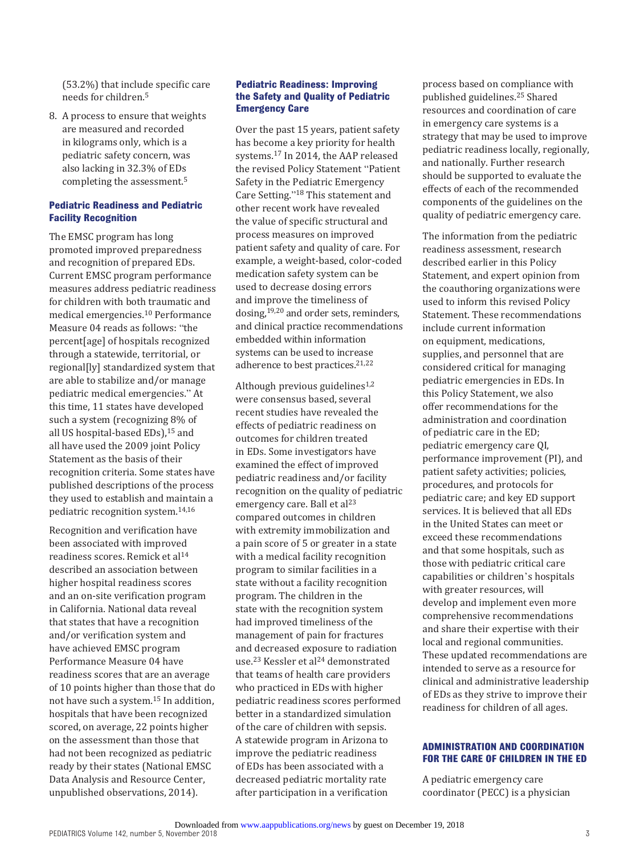(53.2%) that include specific care needs for children. [5](#page-10-2)

8. A process to ensure that weights are measured and recorded in kilograms only, which is a pediatric safety concern, was also lacking in 32.3% of EDs completing the assessment. [5](#page-10-2)

# **Pediatric Readiness and Pediatric Facility Recognition**

The EMSC program has long promoted improved preparedness and recognition of prepared EDs. Current EMSC program performance measures address pediatric readiness for children with both traumatic and medical emergencies. [10](#page-11-6) Performance Measure 04 reads as follows: "the percent[age] of hospitals recognized through a statewide, territorial, or regional[ly] standardized system that are able to stabilize and/or manage pediatric medical emergencies." At this time, 11 states have developed such a system (recognizing 8% of all US hospital-based  $EDs$ ),  $15$  and all have used the 2009 joint Policy Statement as the basis of their recognition criteria. Some states have published descriptions of the process they used to establish and maintain a pediatric recognition system. [14](#page-11-5),[16](#page-11-8)

Recognition and verification have been associated with improved readiness scores. Remick et al<sup>[14](#page-11-5)</sup> described an association between higher hospital readiness scores and an on-site verification program in California. National data reveal that states that have a recognition and/or verification system and have achieved EMSC program Performance Measure 04 have readiness scores that are an average of 10 points higher than those that do not have such a system. [15](#page-11-7) In addition, hospitals that have been recognized scored, on average, 22 points higher on the assessment than those that had not been recognized as pediatric ready by their states (National EMSC Data Analysis and Resource Center, unpublished observations, 2014).

# **Pediatric Readiness: Improving the Safety and Quality of Pediatric Emergency Care**

Over the past 15 years, patient safety has become a key priority for health systems. [17](#page-11-9) In 2014, the AAP released the revised Policy Statement "Patient Safety in the Pediatric Emergency Care Setting."[18](#page-11-10) This statement and other recent work have revealed the value of specific structural and process measures on improved patient safety and quality of care. For example, a weight-based, color-coded medication safety system can be used to decrease dosing errors and improve the timeliness of dosing[,19,](#page-11-11)[20](#page-11-12) and order sets, reminders, and clinical practice recommendations embedded within information systems can be used to increase adherence to best practices.<sup>21,[22](#page-11-14)</sup>

Although previous guidelines $1,2$  $1,2$  $1,2$ were consensus based, several recent studies have revealed the effects of pediatric readiness on outcomes for children treated in EDs. Some investigators have examined the effect of improved pediatric readiness and/or facility recognition on the quality of pediatric emergency care. Ball et al [23](#page-11-15) compared outcomes in children with extremity immobilization and a pain score of 5 or greater in a state with a medical facility recognition program to similar facilities in a state without a facility recognition program. The children in the state with the recognition system had improved timeliness of the management of pain for fractures and decreased exposure to radiation use.<sup>[23](#page-11-15)</sup> Kessler et al<sup>24</sup> demonstrated that teams of health care providers who practiced in EDs with higher pediatric readiness scores performed better in a standardized simulation of the care of children with sepsis. A statewide program in Arizona to improve the pediatric readiness of EDs has been associated with a decreased pediatric mortality rate after participation in a verification

process based on compliance with published guidelines. [25](#page-11-17) Shared resources and coordination of care in emergency care systems is a strategy that may be used to improve pediatric readiness locally, regionally, and nationally. Further research should be supported to evaluate the effects of each of the recommended components of the guidelines on the quality of pediatric emergency care.

The information from the pediatric readiness assessment, research described earlier in this Policy Statement, and expert opinion from the coauthoring organizations were used to inform this revised Policy Statement. These recommendations include current information on equipment, medications, supplies, and personnel that are considered critical for managing pediatric emergencies in EDs. In this Policy Statement, we also offer recommendations for the administration and coordination of pediatric care in the ED; pediatric emergency care QI, performance improvement (PI), and patient safety activities; policies, procedures, and protocols for pediatric care; and key ED support services. It is believed that all EDs in the United States can meet or exceed these recommendations and that some hospitals, such as those with pediatric critical care capabilities or children's hospitals with greater resources, will develop and implement even more comprehensive recommendations and share their expertise with their local and regional communities. These updated recommendations are intended to serve as a resource for clinical and administrative leadership of EDs as they strive to improve their readiness for children of all ages.

# **ADMINISTRATION AND COORDINATION FOR THE CARE OF CHILDREN IN THE ED**

A pediatric emergency care coordinator (PECC) is a physician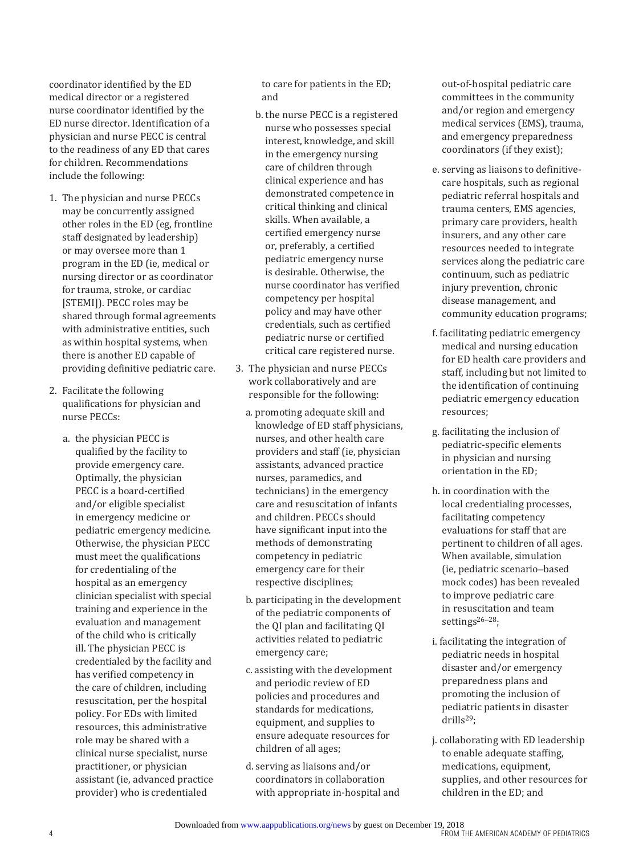coordinator identified by the ED medical director or a registered nurse coordinator identified by the ED nurse director. Identification of a physician and nurse PECC is central to the readiness of any ED that cares for children. Recommendations include the following:

- 1. The physician and nurse PECCs may be concurrently assigned other roles in the ED (eg, frontline staff designated by leadership) or may oversee more than 1 program in the ED (ie, medical or nursing director or as coordinator for trauma, stroke, or cardiac [STEMI]). PECC roles may be shared through formal agreements with administrative entities, such as within hospital systems, when there is another ED capable of providing definitive pediatric care.
- 2. Facilitate the following qualifications for physician and nurse PECCs:
	- a. the physician PECC is qualified by the facility to provide emergency care. Optimally, the physician PECC is a board-certified and/or eligible specialist in emergency medicine or pediatric emergency medicine. Otherwise, the physician PECC must meet the qualifications for credentialing of the hospital as an emergency clinician specialist with special training and experience in the evaluation and management of the child who is critically ill. The physician PECC is credentialed by the facility and has verified competency in the care of children, including resuscitation, per the hospital policy. For EDs with limited resources, this administrative role may be shared with a clinical nurse specialist, nurse practitioner, or physician assistant (ie, advanced practice provider) who is credentialed

to care for patients in the ED; and

- b. the nurse PECC is a registered nurse who possesses special interest, knowledge, and skill in the emergency nursing care of children through clinical experience and has demonstrated competence in critical thinking and clinical skills. When available, a certified emergency nurse or, preferably, a certified pediatric emergency nurse is desirable. Otherwise, the nurse coordinator has verified competency per hospital policy and may have other credentials, such as certified pediatric nurse or certified critical care registered nurse.
- 3. The physician and nurse PECCs work collaboratively and are responsible for the following:
	- a. promoting adequate skill and knowledge of ED staff physicians, nurses, and other health care providers and staff (ie, physician assistants, advanced practice nurses, paramedics, and technicians) in the emergency care and resuscitation of infants and children. PECCs should have significant input into the methods of demonstrating competency in pediatric emergency care for their respective disciplines;
	- b. participating in the development of the pediatric components of the QI plan and facilitating QI activities related to pediatric emergency care;
	- c. assisting with the development and periodic review of ED policies and procedures and standards for medications, equipment, and supplies to ensure adequate resources for children of all ages;
	- d. serving as liaisons and/or coordinators in collaboration with appropriate in-hospital and

out-of-hospital pediatric care committees in the community and/or region and emergency medical services (EMS), trauma, and emergency preparedness coordinators (if they exist);

- e. serving as liaisons to definitivecare hospitals, such as regional pediatric referral hospitals and trauma centers, EMS agencies, primary care providers, health insurers, and any other care resources needed to integrate services along the pediatric care continuum, such as pediatric injury prevention, chronic disease management, and community education programs;
- f. facilitating pediatric emergency medical and nursing education for ED health care providers and staff, including but not limited to the identification of continuing pediatric emergency education resources;
- g. facilitating the inclusion of pediatric-specific elements in physician and nursing orientation in the ED;
- h. in coordination with the local credentialing processes, facilitating competency evaluations for staff that are pertinent to children of all ages. When available, simulation (ie, pediatric scenario–based mock codes) has been revealed to improve pediatric care in resuscitation and team settings[26](#page-11-18)–[28;](#page-11-19)
- i. facilitating the integration of pediatric needs in hospital disaster and/or emergency preparedness plans and promoting the inclusion of pediatric patients in disaster drills $29$ :
- j. collaborating with ED leadership to enable adequate staffing, medications, equipment, supplies, and other resources for children in the ED; and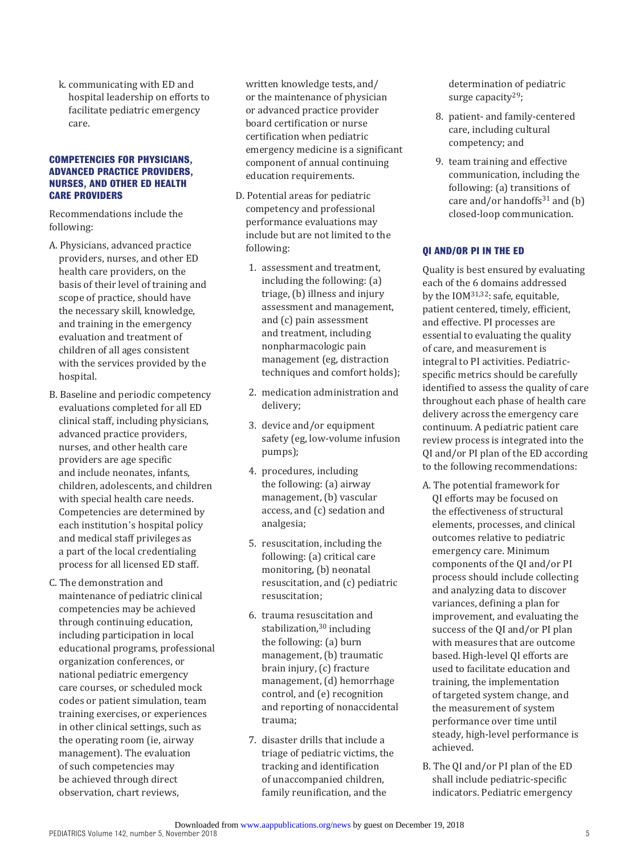k. communicating with ED and hospital leadership on efforts to facilitate pediatric emergency care.

#### **COMPETENCIES FOR PHYSICIANS, ADVANCED PRACTICE PROVIDERS, NURSES, AND OTHER ED HEALTH CARE PROVIDERS**

Recommendations include the following:

- A. Physicians, advanced practice providers, nurses, and other ED health care providers, on the basis of their level of training and scope of practice, should have the necessary skill, knowledge, and training in the emergency evaluation and treatment of children of all ages consistent with the services provided by the hospital.
- B. Baseline and periodic competency evaluations completed for all ED clinical staff, including physicians, advanced practice providers, nurses, and other health care providers are age specific and include neonates, infants, children, adolescents, and children with special health care needs. Competencies are determined by each institution's hospital policy and medical staff privileges as a part of the local credentialing process for all licensed ED staff.
- C. The demonstration and maintenance of pediatric clinical competencies may be achieved through continuing education, including participation in local educational programs, professional organization conferences, or national pediatric emergency care courses, or scheduled mock codes or patient simulation, team training exercises, or experiences in other clinical settings, such as the operating room (ie, airway management). The evaluation of such competencies may be achieved through direct observation, chart reviews,

written knowledge tests, and/ or the maintenance of physician or advanced practice provider board certification or nurse certification when pediatric emergency medicine is a significant component of annual continuing education requirements.

- D. Potential areas for pediatric competency and professional performance evaluations may include but are not limited to the following:
	- 1. assessment and treatment, including the following: (a) triage, (b) illness and injury assessment and management, and (c) pain assessment and treatment, including nonpharmacologic pain management (eg, distraction techniques and comfort holds);
	- 2. medication administration and delivery;
	- 3. device and/or equipment safety (eg, low-volume infusion pumps);
	- 4. procedures, including the following: (a) airway management, (b) vascular access, and (c) sedation and analgesia;
	- 5. resuscitation, including the following: (a) critical care monitoring, (b) neonatal resuscitation, and (c) pediatric resuscitation;
	- 6. trauma resuscitation and stabilization, $30$  including the following: (a) burn management, (b) traumatic brain injury, (c) fracture management, (d) hemorrhage control, and (e) recognition and reporting of nonaccidental trauma;
	- 7. disaster drills that include a triage of pediatric victims, the tracking and identification of unaccompanied children, family reunification, and the

determination of pediatric surge capacity<sup>29</sup>;

- 8. patient- and family-centered care, including cultural competency; and
- 9. team training and effective communication, including the following: (a) transitions of care and/or handoffs $31$  and (b) closed-loop communication.

# **QI AND/OR PI IN THE ED**

Quality is best ensured by evaluating each of the 6 domains addressed by the IOM<sup>[31,](#page-11-22)[32](#page-11-23)</sup>: safe, equitable, patient centered, timely, efficient, and effective. PI processes are essential to evaluating the quality of care, and measurement is integral to PI activities. Pediatricspecific metrics should be carefully identified to assess the quality of care throughout each phase of health care delivery across the emergency care continuum. A pediatric patient care review process is integrated into the QI and/or PI plan of the ED according to the following recommendations:

- A. The potential framework for QI efforts may be focused on the effectiveness of structural elements, processes, and clinical outcomes relative to pediatric emergency care. Minimum components of the QI and/or PI process should include collecting and analyzing data to discover variances, defining a plan for improvement, and evaluating the success of the QI and/or PI plan with measures that are outcome based. High-level QI efforts are used to facilitate education and training, the implementation of targeted system change, and the measurement of system performance over time until steady, high-level performance is achieved.
- B. The QI and/or PI plan of the ED shall include pediatric-specific indicators. Pediatric emergency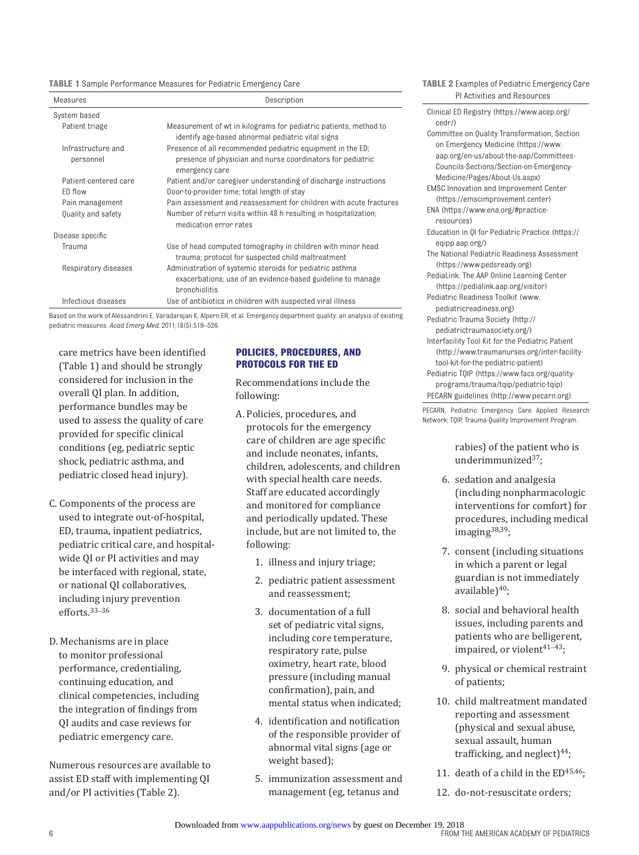**TABLE 1** Sample Performance Measures for Pediatric Emergency Care

| Measures                        | Description                                                                                                                                |
|---------------------------------|--------------------------------------------------------------------------------------------------------------------------------------------|
| System based                    |                                                                                                                                            |
| Patient triage                  | Measurement of wt in kilograms for pediatric patients; method to<br>identify age-based abnormal pediatric vital signs                      |
| Infrastructure and<br>personnel | Presence of all recommended pediatric equipment in the ED;<br>presence of physician and nurse coordinators for pediatric<br>emergency care |
| Patient-centered care           | Patient and/or caregiver understanding of discharge instructions                                                                           |
| ED flow                         | Door-to-provider time; total length of stay                                                                                                |
| Pain management                 | Pain assessment and reassessment for children with acute fractures                                                                         |
| Quality and safety              | Number of return visits within 48 h resulting in hospitalization;<br>medication error rates                                                |
| Disease specific                |                                                                                                                                            |
| Trauma                          | Use of head computed tomography in children with minor head<br>trauma; protocol for suspected child maltreatment                           |
| Respiratory diseases            | Administration of systemic steroids for pediatric asthma<br>exacerbations; use of an evidence-based guideline to manage<br>bronchiolitis   |
| Infectious diseases             | Use of antibiotics in children with suspected viral illness                                                                                |

Based on the work of Alessandrini E, Varadarajan K, Alpern ER, et al. Emergency department quality: an analysis of existing pediatric measures. *Acad Emerg Med*. 2011;18(5):519–526.

care metrics have been identified (Table 1) and should be strongly considered for inclusion in the overall QI plan. In addition, performance bundles may be used to assess the quality of care provided for specific clinical conditions (eg, pediatric septic shock, pediatric asthma, and pediatric closed head injury).

- C. Components of the process are used to integrate out-of-hospital, ED, trauma, inpatient pediatrics, pediatric critical care, and hospitalwide QI or PI activities and may be interfaced with regional, state, or national QI collaboratives, including injury prevention efforts. [33](#page-11-24)–[36](#page-12-0)
- D. Mechanisms are in place to monitor professional performance, credentialing, continuing education, and clinical competencies, including the integration of findings from QI audits and case reviews for pediatric emergency care.

Numerous resources are available to assist ED staff with implementing QI and/or PI activities (Table 2).

# **POLICIES, PROCEDURES, AND PROTOCOLS FOR THE ED**

Recommendations include the following:

- A. Policies, procedures, and protocols for the emergency care of children are age specific and include neonates, infants, children, adolescents, and children with special health care needs. Staff are educated accordingly and monitored for compliance and periodically updated. These include, but are not limited to, the following:
	- 1. illness and injury triage;
	- 2. pediatric patient assessment and reassessment;
	- 3. documentation of a full set of pediatric vital signs, including core temperature, respiratory rate, pulse oximetry, heart rate, blood pressure (including manual confirmation), pain, and mental status when indicated;
	- 4. identification and notification of the responsible provider of abnormal vital signs (age or weight based);
	- 5. immunization assessment and management (eg, tetanus and

#### **TABLE 2** Examples of Pediatric Emergency Care PI Activities and Resources

| Clinical ED Registry (https://www.acep.org/<br>cedr/)                    |  |  |
|--------------------------------------------------------------------------|--|--|
| Committee on Quality Transformation, Section                             |  |  |
| on Emergency Medicine (https://www.                                      |  |  |
| aap.org/en-us/about-the-aap/Committees-                                  |  |  |
| Councils-Sections/Section-on-Emergency-                                  |  |  |
| Medicine/Pages/About-Us.aspx)                                            |  |  |
| <b>EMSC Innovation and Improvement Center</b>                            |  |  |
| (https://emscimprovement.center)                                         |  |  |
| ENA (https://www.ena.org/#practice-                                      |  |  |
| resources)                                                               |  |  |
| Education in QI for Pediatric Practice (https://                         |  |  |
| eqipp.aap.org/)<br>The National Pediatric Readiness Assessment           |  |  |
|                                                                          |  |  |
| (https://www.pedsready.org)<br>PediaLink: The AAP Online Learning Center |  |  |
| (https://pedialink.aap.org/visitor)                                      |  |  |
| Pediatric Readiness Toolkit (www.                                        |  |  |
| pediatricreadiness.org)                                                  |  |  |
| Pediatric Trauma Society (http://                                        |  |  |
| pediatrictraumasociety.org/)                                             |  |  |
| Interfacility Tool Kit for the Pediatric Patient                         |  |  |
| (http://www.traumanurses.org/inter-facility-                             |  |  |
| tool-kit-for-the-pediatric-patient)                                      |  |  |
| Pediatric TQIP (https://www.facs.org/quality-                            |  |  |
| programs/trauma/tgip/pediatric-tgip)                                     |  |  |
| PECARN guidelines (http://www.pecarn.org)                                |  |  |

PECARN, Pediatric Emergency Care Applied Research Network; TQIP, Trauma Quality Improvement Program.

> rabies) of the patient who is un[d](#page-12-1)erimmunized<sup>37</sup>;

- 6. sedation and analgesia (including nonpharmacologic interventions for comfort) for procedures, including medical imaging[38](#page-12-2)[,39;](#page-12-3)
- 7. consent (including situations in which a parent or legal guardian is not immediately available $140$  $140$ ;
- 8. social and behavioral health issues, including parents and patients who are belligerent, impaired, or violen[t](#page-12-5)<sup>[41](#page-12-5)-[43](#page-12-6)</sup>;
- 9. physical or chemical restraint of patients;
- 10. child maltreatment mandated reporting and assessment (physical and sexual abuse, sexual assault, human trafficking, and neglect) $44$ ;
- 11. death of a child in the  $ED^{45,46}$  $ED^{45,46}$  $ED^{45,46}$ ;
- 12. do-not-resuscitate orders;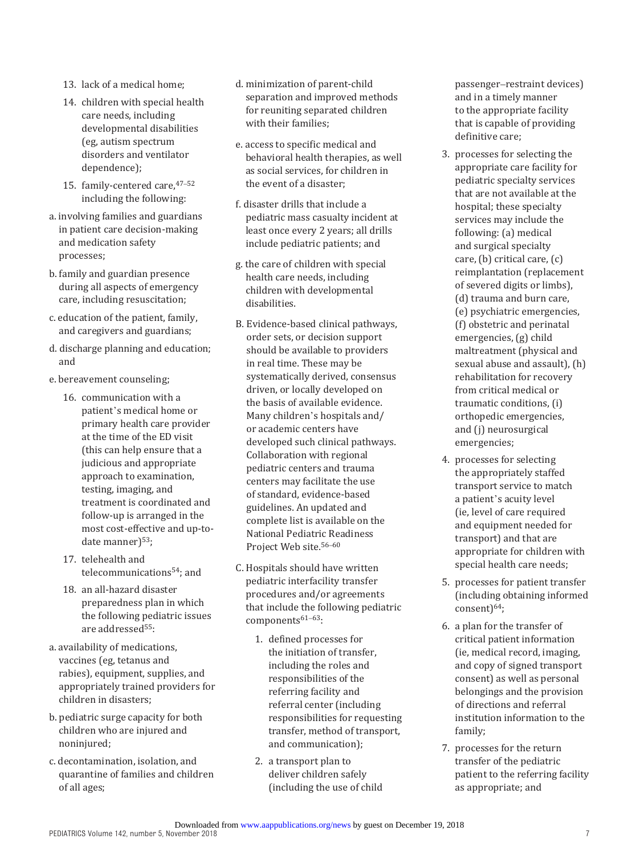- 13. lack of a medical home;
- 14. children with special health care needs, including developmental disabilities (eg, autism spectrum disorders and ventilator dependence);
- 15. family-centered care,[47](#page-12-10)–[52](#page-12-11) including the following:
- a. involving families and guardians in patient care decision-making and medication safety processes;
- b. family and guardian presence during all aspects of emergency care, including resuscitation;
- c. education of the patient, family, and caregivers and guardians;
- d. discharge planning and education; and
- e. bereavement counseling;
	- 16. communication with a patient's medical home or primary health care provider at the time of the ED visit (this can help ensure that a judicious and appropriate approach to examination, testing, imaging, and treatment is coordinated and follow-up is arranged in the most cost-effective and up-todate manner $)^{53}$ ;
	- 17. telehealth and telecommunications[54;](#page-12-13) and
	- 18. an all-hazard disaster preparedness plan in which the following pediatric issues are a[d](#page-12-14)dressed<sup>[55](#page-12-14)</sup>:
- a. availability of medications, vaccines (eg, tetanus and rabies), equipment, supplies, and appropriately trained providers for children in disasters;
- b. pediatric surge capacity for both children who are injured and noninjured;
- c. decontamination, isolation, and quarantine of families and children of all ages;
- d. minimization of parent-child separation and improved methods for reuniting separated children with their families;
- e. access to specific medical and behavioral health therapies, as well as social services, for children in the event of a disaster;
- f. disaster drills that include a pediatric mass casualty incident at least once every 2 years; all drills include pediatric patients; and
- g. the care of children with special health care needs, including children with developmental disabilities.
- B. Evidence-based clinical pathways, order sets, or decision support should be available to providers in real time. These may be systematically derived, consensus driven, or locally developed on the basis of available evidence. Many children's hospitals and/ or academic centers have developed such clinical pathways. Collaboration with regional pediatric centers and trauma centers may facilitate the use of standard, evidence-based guidelines. An updated and complete list is available on the National Pediatric Readiness Project Web site. [56](#page-12-15)–[60](#page-13-0)
- C. Hospitals should have written pediatric interfacility transfer procedures and/or agreements that include the following pediatric component[s](#page-13-1)<sup>[61](#page-13-1)-[63](#page-13-2)</sup>:
	- 1. defined processes for the initiation of transfer, including the roles and responsibilities of the referring facility and referral center (including responsibilities for requesting transfer, method of transport, and communication);
	- 2. a transport plan to deliver children safely (including the use of child

passenger–restraint devices) and in a timely manner to the appropriate facility that is capable of providing definitive care;

- 3. processes for selecting the appropriate care facility for pediatric specialty services that are not available at the hospital; these specialty services may include the following: (a) medical and surgical specialty care, (b) critical care, (c) reimplantation (replacement of severed digits or limbs), (d) trauma and burn care, (e) psychiatric emergencies, (f) obstetric and perinatal emergencies, (g) child maltreatment (physical and sexual abuse and assault), (h) rehabilitation for recovery from critical medical or traumatic conditions, (i) orthopedic emergencies, and (j) neurosurgical emergencies;
- 4. processes for selecting the appropriately staffed transport service to match a patient's acuity level (ie, level of care required and equipment needed for transport) and that are appropriate for children with special health care needs;
- 5. processes for patient transfer (including obtaining informed consent[\)](#page-13-3)<sup>64</sup>;
- 6. a plan for the transfer of critical patient information (ie, medical record, imaging, and copy of signed transport consent) as well as personal belongings and the provision of directions and referral institution information to the family;
- 7. processes for the return transfer of the pediatric patient to the referring facility as appropriate; and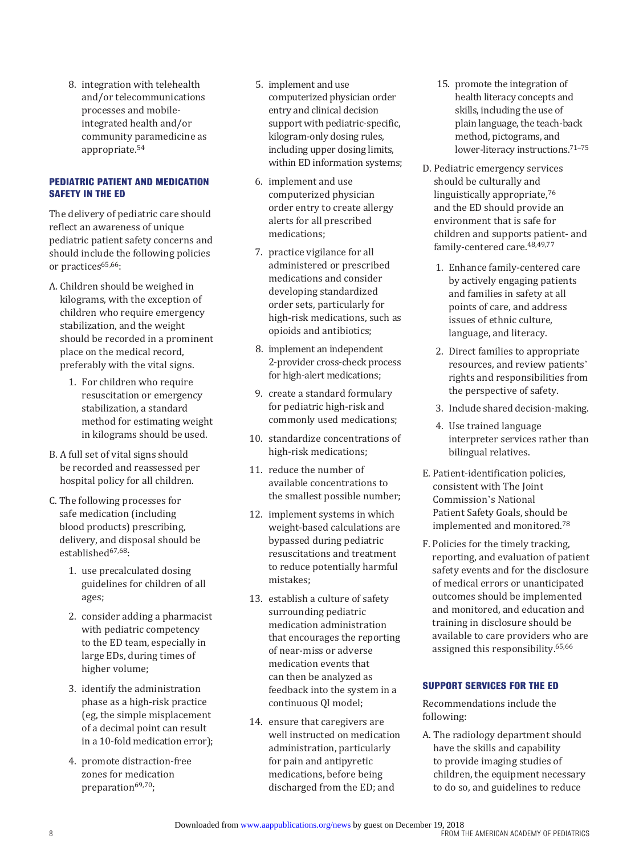8. integration with telehealth and/or telecommunications processes and mobileintegrated health and/or community paramedicine as appropriate. [54](#page-12-13)

#### **PEDIATRIC PATIENT AND MEDICATION SAFETY IN THE ED**

The delivery of pediatric care should reflect an awareness of unique pediatric patient safety concerns and should include the following policies or practices<sup>[65](#page-13-4),66</sup>:

- A. Children should be weighed in kilograms, with the exception of children who require emergency stabilization, and the weight should be recorded in a prominent place on the medical record, preferably with the vital signs.
	- 1. For children who require resuscitation or emergency stabilization, a standard method for estimating weight in kilograms should be used.
- B. A full set of vital signs should be recorded and reassessed per hospital policy for all children.
- C. The following processes for safe medication (including blood products) prescribing, delivery, and disposal should be established<sup>[67](#page-13-6),68</sup>:
	- 1. use precalculated dosing guidelines for children of all ages;
	- 2. consider adding a pharmacist with pediatric competency to the ED team, especially in large EDs, during times of higher volume;
	- 3. identify the administration phase as a high-risk practice (eg, the simple misplacement of a decimal point can result in a 10-fold medication error);
	- 4. promote distraction-free zones for medication preparation<sup>[69](#page-13-8),70</sup>;
- 5. implement and use computerized physician order entry and clinical decision support with pediatric-specific, kilogram-only dosing rules, including upper dosing limits, within ED information systems;
- 6. implement and use computerized physician order entry to create allergy alerts for all prescribed medications;
- 7. practice vigilance for all administered or prescribed medications and consider developing standardized order sets, particularly for high-risk medications, such as opioids and antibiotics;
- 8. implement an independent 2-provider cross-check process for high-alert medications;
- 9. create a standard formulary for pediatric high-risk and commonly used medications;
- 10. standardize concentrations of high-risk medications;
- 11. reduce the number of available concentrations to the smallest possible number;
- 12. implement systems in which weight-based calculations are bypassed during pediatric resuscitations and treatment to reduce potentially harmful mistakes;
- 13. establish a culture of safety surrounding pediatric medication administration that encourages the reporting of near-miss or adverse medication events that can then be analyzed as feedback into the system in a continuous QI model;
- 14. ensure that caregivers are well instructed on medication administration, particularly for pain and antipyretic medications, before being discharged from the ED; and
- 15. promote the integration of health literacy concepts and skills, including the use of plain language, the teach-back method, pictograms, and lower-literacy instructions. [71](#page-13-10)–[75](#page-13-11)
- D. Pediatric emergency services should be culturally and linguistically appropriate,[76](#page-13-12) and the ED should provide an environment that is safe for children and supports patient- and family-centered care. [48,](#page-12-16)[49](#page-12-17),[77](#page-13-13)
	- 1. Enhance family-centered care by actively engaging patients and families in safety at all points of care, and address issues of ethnic culture, language, and literacy.
	- 2. Direct families to appropriate resources, and review patients' rights and responsibilities from the perspective of safety.
	- 3. Include shared decision-making.
	- 4. Use trained language interpreter services rather than bilingual relatives.
- E. Patient-identification policies, consistent with The Joint Commission's National Patient Safety Goals, should be implemented and monitored. [78](#page-13-14)
- F. Policies for the timely tracking, reporting, and evaluation of patient safety events and for the disclosure of medical errors or unanticipated outcomes should be implemented and monitored, and education and training in disclosure should be available to care providers who are assigned this responsibility. [65](#page-13-4),[66](#page-13-5)

# **SUPPORT SERVICES FOR THE ED**

Recommendations include the following:

A. The radiology department should have the skills and capability to provide imaging studies of children, the equipment necessary to do so, and guidelines to reduce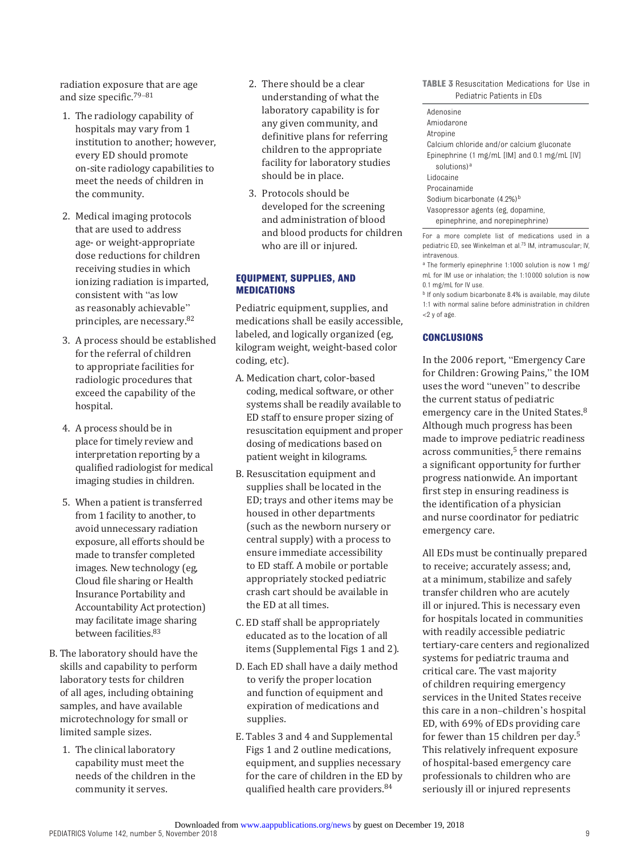radiation exposure that are age and size specific. [79](#page-13-15)–[81](#page-13-16)

- 1. The radiology capability of hospitals may vary from 1 institution to another; however, every ED should promote on-site radiology capabilities to meet the needs of children in the community.
- 2. Medical imaging protocols that are used to address age- or weight-appropriate dose reductions for children receiving studies in which ionizing radiation is imparted, consistent with "as low as reasonably achievable" principles, are necessary. [82](#page-13-17)
- 3. A process should be established for the referral of children to appropriate facilities for radiologic procedures that exceed the capability of the hospital.
- 4. A process should be in place for timely review and interpretation reporting by a qualified radiologist for medical imaging studies in children.
- 5. When a patient is transferred from 1 facility to another, to avoid unnecessary radiation exposure, all efforts should be made to transfer completed images. New technology (eg, Cloud file sharing or Health Insurance Portability and Accountability Act protection) may facilitate image sharing between facilities. [83](#page-13-18)
- B. The laboratory should have the skills and capability to perform laboratory tests for children of all ages, including obtaining samples, and have available microtechnology for small or limited sample sizes.
	- 1. The clinical laboratory capability must meet the needs of the children in the community it serves.
- 2. There should be a clear understanding of what the laboratory capability is for any given community, and definitive plans for referring children to the appropriate facility for laboratory studies should be in place.
- 3. Protocols should be developed for the screening and administration of blood and blood products for children who are ill or injured.

# **EQUIPMENT, SUPPLIES, AND MEDICATIONS**

Pediatric equipment, supplies, and medications shall be easily accessible, labeled, and logically organized (eg, kilogram weight, weight-based color coding, etc).

- A. Medication chart, color-based coding, medical software, or other systems shall be readily available to ED staff to ensure proper sizing of resuscitation equipment and proper dosing of medications based on patient weight in kilograms.
- B. Resuscitation equipment and supplies shall be located in the ED; trays and other items may be housed in other departments (such as the newborn nursery or central supply) with a process to ensure immediate accessibility to ED staff. A mobile or portable appropriately stocked pediatric crash cart should be available in the ED at all times.
- C. ED staff shall be appropriately educated as to the location of all items ([Supplemental Figs 1 and 2](http://pediatrics.aappublications.org/lookup/suppl/doi:10.1542/peds.2018-2459/-/DCSupplemental)).
- D. Each ED shall have a daily method to verify the proper location and function of equipment and expiration of medications and supplies.
- E. Tables 3 and 4 and [Supplemental](http://pediatrics.aappublications.org/lookup/suppl/doi:10.1542/peds.2018-2459/-/DCSupplemental)  [Figs 1 and 2](http://pediatrics.aappublications.org/lookup/suppl/doi:10.1542/peds.2018-2459/-/DCSupplemental) outline medications, equipment, and supplies necessary for the care of children in the ED by qualified health care providers. [84](#page-13-19)

**TABLE 3** Resuscitation Medications for Use in Pediatric Patients in EDs

```
Adenosine
Amiodarone
Atropine
Calcium chloride and/or calcium gluconate
Epinephrine (1 mg/mL [IM] and 0.1 mg/mL [IV] 
   solutions)<sup>a</sup>
Lidocaine
Procainamide
Sodium bicarbonate (4.2%)<sup>b</sup>
Vasopressor agents (eg, dopamine, 
  epinephrine, and norepinephrine)
```
For a more complete list of medications used in a pediatric ED, see Winkelman et al. [75](#page-13-11) IM, intramuscular; IV, intravenous.

a The formerly epinephrine 1:1000 solution is now 1 mg/ mL for IM use or inhalation; the 1:10 000 solution is now 0.1 mg/mL for IV use.

b If only sodium bicarbonate 8.4% is available, may dilute 1:1 with normal saline before administration in children  $<$ 2 y of age.

# **CONCLUSIONS**

In the 2006 report, "Emergency Care for Children: Growing Pains," the IOM uses the word "uneven" to describe the current status of pediatric emergency care in the United States. [8](#page-11-1) Although much progress has been made to improve pediatric readiness across communities,<sup>[5](#page-10-2)</sup> there remains a significant opportunity for further progress nationwide. An important first step in ensuring readiness is the identification of a physician and nurse coordinator for pediatric emergency care.

All EDs must be continually prepared to receive; accurately assess; and, at a minimum, stabilize and safely transfer children who are acutely ill or injured. This is necessary even for hospitals located in communities with readily accessible pediatric tertiary-care centers and regionalized systems for pediatric trauma and critical care. The vast majority of children requiring emergency services in the United States receive this care in a non–children's hospital ED, with 69% of EDs providing care for fewer than 15 children per day. [5](#page-10-2) This relatively infrequent exposure of hospital-based emergency care professionals to children who are seriously ill or injured represents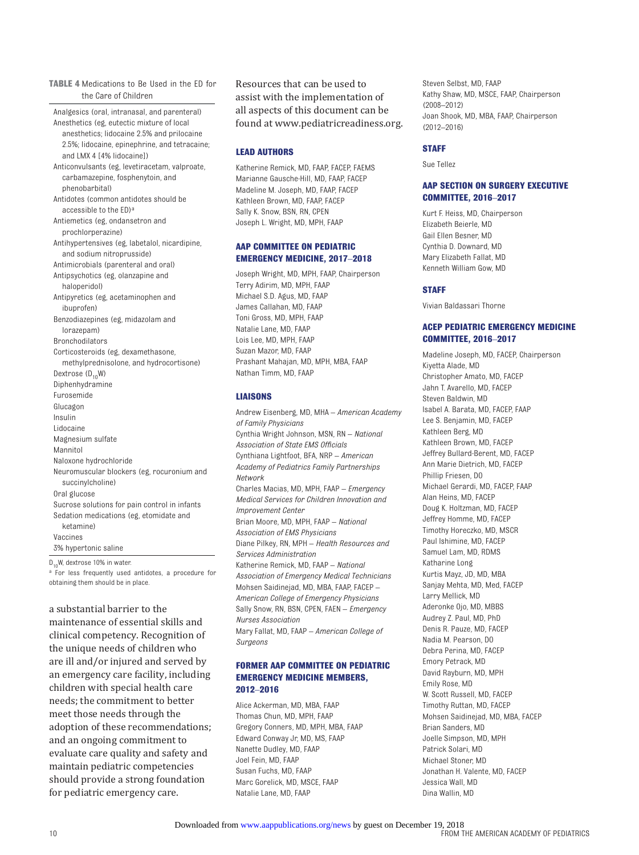#### **TABLE 4** Medications to Be Used in the ED for the Care of Children

Analgesics (oral, intranasal, and parenteral) Anesthetics (eg, eutectic mixture of local anesthetics; lidocaine 2.5% and prilocaine 2.5%; lidocaine, epinephrine, and tetracaine; and LMX 4 [4% lidocaine]) Anticonvulsants (eg, levetiracetam, valproate, carbamazepine, fosphenytoin, and phenobarbital) Antidotes (common antidotes should be accessible to the ED)<sup>a</sup> Antiemetics (eg, ondansetron and prochlorperazine) Antihypertensives (eg, labetalol, nicardipine, and sodium nitroprusside) Antimicrobials (parenteral and oral) Antipsychotics (eg, olanzapine and haloperidol) Antipyretics (eg, acetaminophen and ibuprofen) Benzodiazepines (eg, midazolam and lorazepam) Bronchodilators Corticosteroids (eg, dexamethasone, methylprednisolone, and hydrocortisone) Dextrose  $(D_{10}W)$ Diphenhydramine Furosemide Glucagon Insulin Lidocaine Magnesium sulfate Mannitol Naloxone hydrochloride Neuromuscular blockers (eg, rocuronium and succinylcholine) Oral glucose Sucrose solutions for pain control in infants Sedation medications (eg, etomidate and ketamine) Vaccines 3% hypertonic saline

 $D_{10}$ W, dextrose 10% in water.<br><sup>a</sup> For less frequently used antidotes, a procedure for obtaining them should be in place.

a substantial barrier to the maintenance of essential skills and clinical competency. Recognition of the unique needs of children who are ill and/or injured and served by an emergency care facility, including children with special health care needs; the commitment to better meet those needs through the adoption of these recommendations; and an ongoing commitment to evaluate care quality and safety and maintain pediatric competencies should provide a strong foundation for pediatric emergency care.

Resources that can be used to assist with the implementation of all aspects of this document can be found at [www.pediatricreadiness.org](http://www.pediatricreadiness.org).

#### **LEAD AUTHORS**

Katherine Remick, MD, FAAP, FACEP, FAEMS Marianne Gausche-Hill, MD, FAAP, FACEP Madeline M. Joseph, MD, FAAP, FACEP Kathleen Brown, MD, FAAP, FACEP Sally K. Snow, BSN, RN, CPEN Joseph L. Wright, MD, MPH, FAAP

#### **AAP COMMITTEE ON PEDIATRIC EMERGENCY MEDICINE, 2017**–**2018**

Joseph Wright, MD, MPH, FAAP, Chairperson Terry Adirim, MD, MPH, FAAP Michael S.D. Agus, MD, FAAP James Callahan, MD, FAAP Toni Gross, MD, MPH, FAAP Natalie Lane, MD, FAAP Lois Lee, MD, MPH, FAAP Suzan Mazor, MD, FAAP Prashant Mahajan, MD, MPH, MBA, FAAP Nathan Timm, MD, FAAP

#### **LIAISONS**

Andrew Eisenberg, MD, MHA – *American Academy of Family Physicians* Cynthia Wright Johnson, MSN, RN – *National Association of State EMS Officials* Cynthiana Lightfoot, BFA, NRP – *American Academy of Pediatrics Family Partnerships Network* Charles Macias, MD, MPH, FAAP – *Emergency Medical Services for Children Innovation and Improvement Center* Brian Moore, MD, MPH, FAAP – *National Association of EMS Physicians* Diane Pilkey, RN, MPH – *Health Resources and Services Administration* Katherine Remick, MD, FAAP – *National Association of Emergency Medical Technicians* Mohsen Saidinejad, MD, MBA, FAAP, FACEP – *American College of Emergency Physicians* Sally Snow, RN, BSN, CPEN, FAEN – *Emergency Nurses Association* Mary Fallat, MD, FAAP – *American College of Surgeons*

#### **FORMER AAP COMMITTEE ON PEDIATRIC EMERGENCY MEDICINE MEMBERS, 2012**–**2016**

Alice Ackerman, MD, MBA, FAAP Thomas Chun, MD, MPH, FAAP Gregory Conners, MD, MPH, MBA, FAAP Edward Conway Jr, MD, MS, FAAP Nanette Dudley, MD, FAAP Joel Fein, MD, FAAP Susan Fuchs, MD, FAAP Marc Gorelick, MD, MSCE, FAAP Natalie Lane, MD, FAAP

Steven Selbst, MD, FAAP Kathy Shaw, MD, MSCE, FAAP, Chairperson (2008–2012) Joan Shook, MD, MBA, FAAP, Chairperson (2012–2016)

#### **STAFF**

Sue Tellez

#### **AAP SECTION ON SURGERY EXECUTIVE COMMITTEE, 2016**–**2017**

Kurt F. Heiss, MD, Chairperson Elizabeth Beierle, MD Gail Ellen Besner, MD Cynthia D. Downard, MD Mary Elizabeth Fallat, MD Kenneth William Gow, MD

#### **STAFF**

Vivian Baldassari Thorne

#### **ACEP PEDIATRIC EMERGENCY MEDICINE COMMITTEE, 2016**–**2017**

Madeline Joseph, MD, FACEP, Chairperson Kiyetta Alade, MD Christopher Amato, MD, FACEP Jahn T. Avarello, MD, FACEP Steven Baldwin, MD Isabel A. Barata, MD, FACEP, FAAP Lee S. Benjamin, MD, FACEP Kathleen Berg, MD Kathleen Brown, MD, FACEP Jeffrey Bullard-Berent, MD, FACEP Ann Marie Dietrich, MD, FACEP Phillip Friesen, DO Michael Gerardi, MD, FACEP, FAAP Alan Heins, MD, FACEP Doug K. Holtzman, MD, FACEP Jeffrey Homme, MD, FACEP Timothy Horeczko, MD, MSCR Paul Ishimine, MD, FACEP Samuel Lam, MD, RDMS Katharine Long Kurtis Mayz, JD, MD, MBA Sanjay Mehta, MD, Med, FACEP Larry Mellick, MD Aderonke Ojo, MD, MBBS Audrey Z. Paul, MD, PhD Denis R. Pauze, MD, FACEP Nadia M. Pearson, DO Debra Perina, MD, FACEP Emory Petrack, MD David Rayburn, MD, MPH Emily Rose, MD W. Scott Russell, MD, FACEP Timothy Ruttan, MD, FACEP Mohsen Saidinejad, MD, MBA, FACEP Brian Sanders, MD Joelle Simpson, MD, MPH Patrick Solari, MD Michael Stoner, MD Jonathan H. Valente, MD, FACEP Jessica Wall, MD Dina Wallin, MD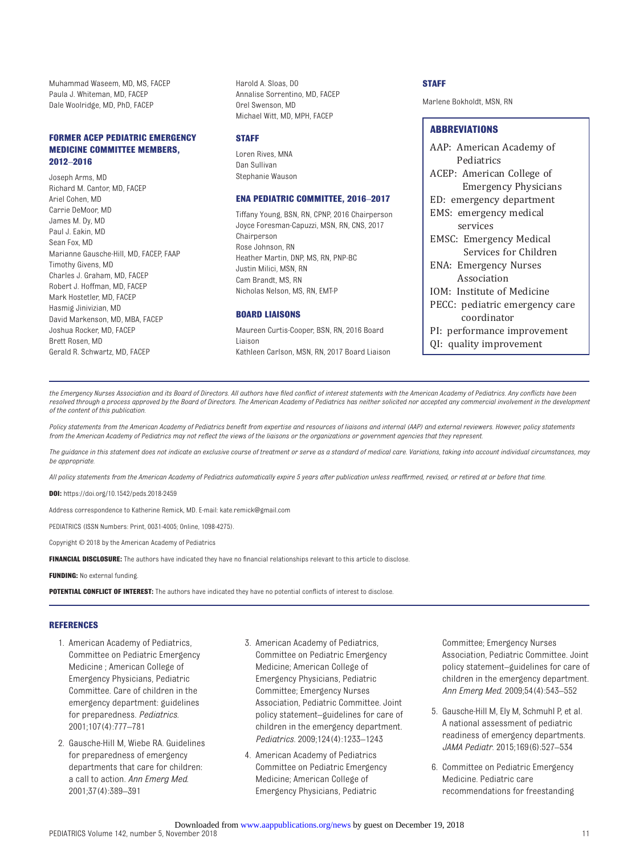Muhammad Waseem, MD, MS, FACEP Paula J. Whiteman, MD, FACEP Dale Woolridge, MD, PhD, FACEP

#### **FORMER ACEP PEDIATRIC EMERGENCY MEDICINE COMMITTEE MEMBERS, 2012**–**2016**

Joseph Arms, MD Richard M. Cantor, MD, FACEP Ariel Cohen, MD Carrie DeMoor, MD James M. Dy, MD Paul J. Eakin, MD Sean Fox, MD Marianne Gausche-Hill, MD, FACEP, FAAP Timothy Givens, MD Charles J. Graham, MD, FACEP Robert J. Hoffman, MD, FACEP Mark Hostetler, MD, FACEP Hasmig Jinivizian, MD David Markenson, MD, MBA, FACEP Joshua Rocker, MD, FACEP Brett Rosen, MD Gerald R. Schwartz, MD, FACEP

Harold A. Sloas, DO Annalise Sorrentino, MD, FACEP Orel Swenson, MD Michael Witt, MD, MPH, FACEP

#### **STAFF**

Loren Rives, MNA Dan Sullivan Stephanie Wauson

#### **ENA PEDIATRIC COMMITTEE, 2016**–**2017**

Tiffany Young, BSN, RN, CPNP, 2016 Chairperson Joyce Foresman-Capuzzi, MSN, RN, CNS, 2017 Chairperson Rose Johnson, RN Heather Martin, DNP, MS, RN, PNP-BC Justin Milici, MSN, RN Cam Brandt, MS, RN Nicholas Nelson, MS, RN, EMT-P

#### **BOARD LIAISONS**

Maureen Curtis-Cooper, BSN, RN, 2016 Board Liaison Kathleen Carlson, MSN, RN, 2017 Board Liaison

#### **STAFF**

Marlene Bokholdt, MSN, RN

#### **ABBREVIATIONS**

- AAP: American Academy of Pediatrics
- ACEP: American College of
- Emergency Physicians
- ED: emergency department
- EMS: emergency medical services
- EMSC: Emergency Medical Services for Children
- ENA: Emergency Nurses Association
- IOM: Institute of Medicine
- PECC: pediatric emergency care coordinator
- PI: performance improvement
- QI: quality improvement

the Emergency Nurses Association and its Board of Directors. All authors have filed conflict of interest statements with the American Academy of Pediatrics. Any conflicts have been resolved through a process approved by the Board of Directors. The American Academy of Pediatrics has neither solicited nor accepted any commercial involvement in the development *of the content of this publication.*

Policy statements from the American Academy of Pediatrics benefit from expertise and resources of liaisons and internal (AAP) and external reviewers. However, policy statements *from the American Academy of Pediatrics may not reflect the views of the liaisons or the organizations or government agencies that they represent.*

*The guidance in this statement does not indicate an exclusive course of treatment or serve as a standard of medical care. Variations, taking into account individual circumstances, may be appropriate.*

*All policy statements from the American Academy of Pediatrics automatically expire 5 years after publication unless reaffirmed, revised, or retired at or before that time.*

**DOI:**<https://doi.org/10.1542/peds.2018-2459>

Address correspondence to Katherine Remick, MD. E-mail: kate.remick@gmail.com

PEDIATRICS (ISSN Numbers: Print, 0031-4005; Online, 1098-4275).

Copyright © 2018 by the American Academy of Pediatrics

**FINANCIAL DISCLOSURE:** The authors have indicated they have no financial relationships relevant to this article to disclose.

**FUNDING:** No external funding.

**POTENTIAL CONFLICT OF INTEREST:** The authors have indicated they have no potential conflicts of interest to disclose.

#### **REFERENCES**

- <span id="page-10-0"></span>1. American Academy of Pediatrics, Committee on Pediatric Emergency Medicine ; American College of Emergency Physicians, Pediatric Committee. Care of children in the emergency department: guidelines for preparedness. *Pediatrics*. 2001;107(4):777–781
- <span id="page-10-5"></span>2. Gausche-Hill M, Wiebe RA. Guidelines for preparedness of emergency departments that care for children: a call to action. *Ann Emerg Med*. 2001;37(4):389–391
- <span id="page-10-4"></span>3. American Academy of Pediatrics, Committee on Pediatric Emergency Medicine; American College of Emergency Physicians, Pediatric Committee; Emergency Nurses Association, Pediatric Committee. Joint policy statement–guidelines for care of children in the emergency department. *Pediatrics*. 2009;124(4):1233–1243
- <span id="page-10-1"></span>4. American Academy of Pediatrics Committee on Pediatric Emergency Medicine; American College of Emergency Physicians, Pediatric

Committee; Emergency Nurses Association, Pediatric Committee. Joint policy statement–guidelines for care of children in the emergency department. *Ann Emerg Med*. 2009;54(4):543–552

- <span id="page-10-2"></span>5. Gausche-Hill M, Ely M, Schmuhl P, et al. A national assessment of pediatric readiness of emergency departments. *JAMA Pediatr*. 2015;169(6):527–534
- <span id="page-10-3"></span>6. Committee on Pediatric Emergency Medicine. Pediatric care recommendations for freestanding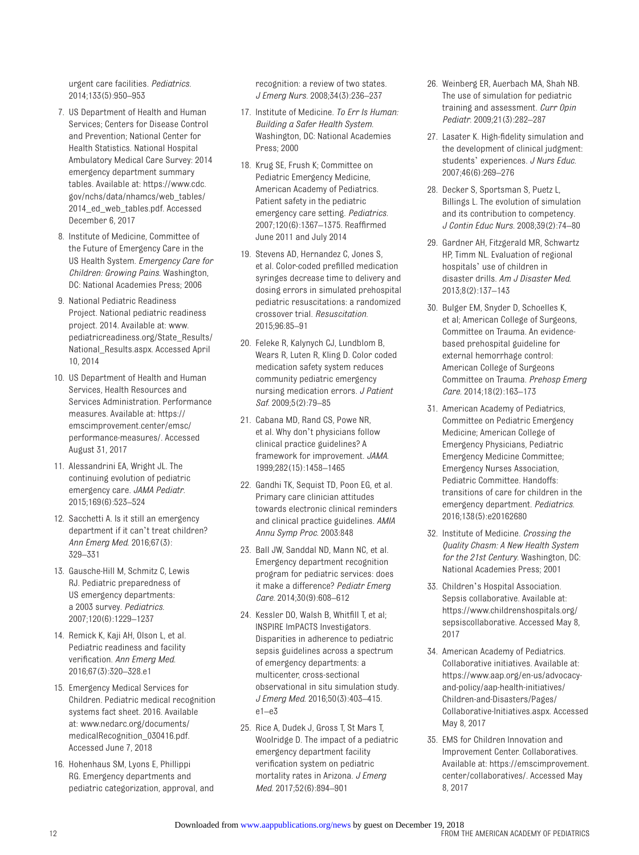urgent care facilities. *Pediatrics*. 2014;133(5):950–953

- <span id="page-11-0"></span>7. US Department of Health and Human Services; Centers for Disease Control and Prevention; National Center for Health Statistics. National Hospital Ambulatory Medical Care Survey: 2014 emergency department summary tables. Available at: [https://www.cdc.](https://www.cdc.gov/nchs/data/nhamcs/web_tables/2014_ed_web_tables.pdf) [gov/nchs/data/nhamcs/web\\_tables/](https://www.cdc.gov/nchs/data/nhamcs/web_tables/2014_ed_web_tables.pdf) 2014 ed web tables.pdf. Accessed December 6, 2017
- <span id="page-11-1"></span>8. Institute of Medicine, Committee of the Future of Emergency Care in the US Health System. *Emergency Care for Children: Growing Pains*. Washington, DC: National Academies Press; 2006
- <span id="page-11-2"></span>9. National Pediatric Readiness Project. National pediatric readiness project. 2014. Available at: [www.](www.pediatricreadiness.org/State_Results/National_Results.aspx) [pediatricreadiness.org/State\\_Results/](www.pediatricreadiness.org/State_Results/National_Results.aspx) [National\\_Results.aspx.](www.pediatricreadiness.org/State_Results/National_Results.aspx) Accessed April 10, 2014
- <span id="page-11-6"></span>10. US Department of Health and Human Services, Health Resources and Services Administration. Performance measures. Available at: [https://](https://emscimprovement.center/emsc/performance-measures/) [emscimprovement.center/emsc/](https://emscimprovement.center/emsc/performance-measures/) [performance-measures/](https://emscimprovement.center/emsc/performance-measures/). Accessed August 31, 2017
- 11. Alessandrini EA, Wright JL. The continuing evolution of pediatric emergency care. *JAMA Pediatr*. 2015;169(6):523–524
- <span id="page-11-3"></span>12. Sacchetti A. Is it still an emergency department if it can't treat children? *Ann Emerg Med*. 2016;67(3): 329–331
- <span id="page-11-4"></span>13. Gausche-Hill M, Schmitz C, Lewis RJ. Pediatric preparedness of US emergency departments: a 2003 survey. *Pediatrics*. 2007;120(6):1229–1237
- <span id="page-11-5"></span>14. Remick K, Kaji AH, Olson L, et al. Pediatric readiness and facility verification. *Ann Emerg Med*. 2016;67(3):320–328.e1
- <span id="page-11-7"></span>15. Emergency Medical Services for Children. Pediatric medical recognition systems fact sheet. 2016. Available at: [www.nedarc.org/documents/](www.nedarc.org/documents/medicalRecognition_030416.pdf) [medicalRecognition\\_030416.pdf.](www.nedarc.org/documents/medicalRecognition_030416.pdf) Accessed June 7, 2018
- <span id="page-11-8"></span>16. Hohenhaus SM, Lyons E, Phillippi RG. Emergency departments and pediatric categorization, approval, and

recognition: a review of two states. *J Emerg Nurs*. 2008;34(3):236–237

- <span id="page-11-9"></span>17. Institute of Medicine. *To Err Is Human: Building a Safer Health System*. Washington, DC: National Academies Press; 2000
- <span id="page-11-10"></span>18. Krug SE, Frush K; Committee on Pediatric Emergency Medicine, American Academy of Pediatrics. Patient safety in the pediatric emergency care setting. *Pediatrics*. 2007;120(6):1367–1375. Reaffirmed June 2011 and July 2014
- <span id="page-11-11"></span>19. Stevens AD, Hernandez C, Jones S, et al. Color-coded prefilled medication syringes decrease time to delivery and dosing errors in simulated prehospital pediatric resuscitations: a randomized crossover trial. *Resuscitation*. 2015;96:85–91
- <span id="page-11-12"></span>20. Feleke R, Kalynych CJ, Lundblom B, Wears R, Luten R, Kling D. Color coded medication safety system reduces community pediatric emergency nursing medication errors. *J Patient Saf*. 2009;5(2):79–85
- <span id="page-11-13"></span>21. Cabana MD, Rand CS, Powe NR, et al. Why don't physicians follow clinical practice guidelines? A framework for improvement. *JAMA*. 1999;282(15):1458–1465
- <span id="page-11-14"></span>22. Gandhi TK, Sequist TD, Poon EG, et al. Primary care clinician attitudes towards electronic clinical reminders and clinical practice guidelines. *AMIA Annu Symp Proc*. 2003:848
- <span id="page-11-15"></span>23. Ball JW, Sanddal ND, Mann NC, et al. Emergency department recognition program for pediatric services: does it make a difference? *Pediatr Emerg Care*. 2014;30(9):608–612
- <span id="page-11-16"></span>24. Kessler DO, Walsh B, Whitfill T, et al; INSPIRE ImPACTS Investigators. Disparities in adherence to pediatric sepsis guidelines across a spectrum of emergency departments: a multicenter, cross-sectional observational in situ simulation study. *J Emerg Med*. 2016;50(3):403–415. e1–e3
- <span id="page-11-17"></span>25. Rice A, Dudek J, Gross T, St Mars T, Woolridge D. The impact of a pediatric emergency department facility verification system on pediatric mortality rates in Arizona. *J Emerg Med*. 2017;52(6):894–901
- <span id="page-11-18"></span>26. Weinberg ER, Auerbach MA, Shah NB. The use of simulation for pediatric training and assessment. *Curr Opin Pediatr*. 2009;21(3):282–287
- 27. Lasater K. High-fidelity simulation and the development of clinical judgment: students' experiences. *J Nurs Educ*. 2007;46(6):269–276
- <span id="page-11-19"></span>28. Decker S, Sportsman S, Puetz L, Billings L. The evolution of simulation and its contribution to competency. *J Contin Educ Nurs*. 2008;39(2):74–80
- <span id="page-11-20"></span>29. Gardner AH, Fitzgerald MR, Schwartz HP, Timm NL. Evaluation of regional hospitals' use of children in disaster drills. *Am J Disaster Med*. 2013;8(2):137–143
- <span id="page-11-21"></span>30. Bulger EM, Snyder D, Schoelles K, et al; American College of Surgeons, Committee on Trauma. An evidencebased prehospital guideline for external hemorrhage control: American College of Surgeons Committee on Trauma. *Prehosp Emerg Care*. 2014;18(2):163–173
- <span id="page-11-22"></span>31. American Academy of Pediatrics, Committee on Pediatric Emergency Medicine; American College of Emergency Physicians, Pediatric Emergency Medicine Committee; Emergency Nurses Association, Pediatric Committee. Handoffs: transitions of care for children in the emergency department. *Pediatrics*. 2016;138(5):e20162680
- <span id="page-11-23"></span>32. Institute of Medicine. *Crossing the Quality Chasm: A New Health System for the 21st Century*. Washington, DC: National Academies Press; 2001
- <span id="page-11-24"></span>33. Children's Hospital Association. Sepsis collaborative. Available at: [https://www.childrenshospitals.org/](https://www.childrenshospitals.org/sepsiscollaborative) [sepsiscollaborative.](https://www.childrenshospitals.org/sepsiscollaborative) Accessed May 8, 2017
- 34. American Academy of Pediatrics. Collaborative initiatives. Available at: [https://www.aap.org/en-us/advocacy](https://www.aap.org/en-us/advocacy-and-policy/aap-health-initiatives/Children-and-Disasters/Pages/Collaborative-Initiatives.aspx)[and-policy/aap-health-initiatives/](https://www.aap.org/en-us/advocacy-and-policy/aap-health-initiatives/Children-and-Disasters/Pages/Collaborative-Initiatives.aspx) [Children-and-Disasters/Pages/](https://www.aap.org/en-us/advocacy-and-policy/aap-health-initiatives/Children-and-Disasters/Pages/Collaborative-Initiatives.aspx) [Collaborative-Initiatives.aspx](https://www.aap.org/en-us/advocacy-and-policy/aap-health-initiatives/Children-and-Disasters/Pages/Collaborative-Initiatives.aspx). Accessed May 8, 2017
- 35. EMS for Children Innovation and Improvement Center. Collaboratives. Available at: [https://emscimprovement.](https://emscimprovement.center/collaboratives/) [center/collaboratives/.](https://emscimprovement.center/collaboratives/) Accessed May 8, 2017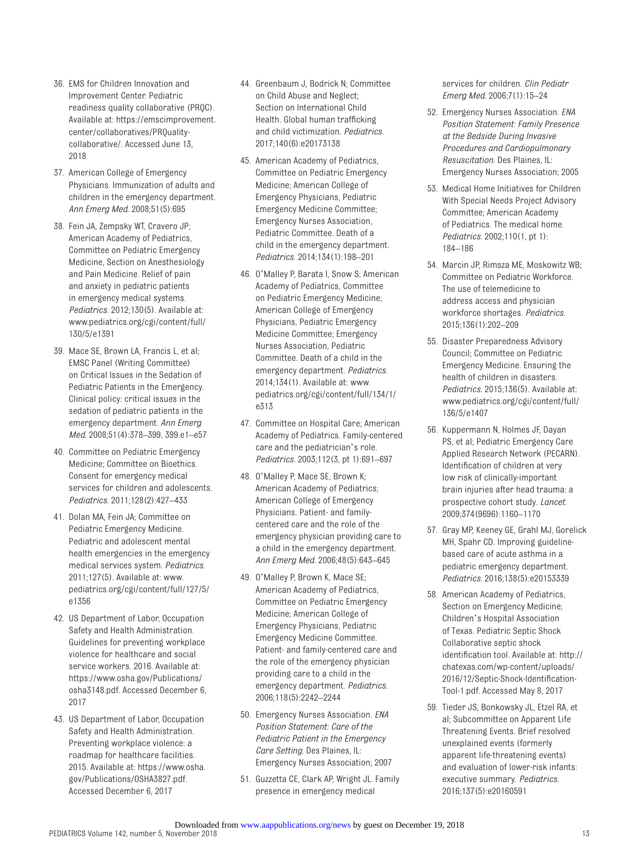- <span id="page-12-0"></span>36. EMS for Children Innovation and Improvement Center. Pediatric readiness quality collaborative (PRQC). Available at: [https://emscimprovement.](https://emscimprovement.center/collaboratives/PRQuality-collaborative/) [center/collaboratives/PRQuality](https://emscimprovement.center/collaboratives/PRQuality-collaborative/)[collaborative/.](https://emscimprovement.center/collaboratives/PRQuality-collaborative/) Accessed June 13, 2018
- <span id="page-12-1"></span>37. American College of Emergency Physicians. Immunization of adults and children in the emergency department. *Ann Emerg Med*. 2008;51(5):695
- <span id="page-12-2"></span>38. Fein JA, Zempsky WT, Cravero JP; American Academy of Pediatrics, Committee on Pediatric Emergency Medicine, Section on Anesthesiology and Pain Medicine. Relief of pain and anxiety in pediatric patients in emergency medical systems. *Pediatrics*. 2012;130(5). Available at: [www.pediatrics.org/cgi/content/full/](www.pediatrics.org/cgi/content/full/130/5/e1391) [130/5/e1391](www.pediatrics.org/cgi/content/full/130/5/e1391)
- <span id="page-12-3"></span>39. Mace SE, Brown LA, Francis L, et al; EMSC Panel (Writing Committee) on Critical Issues in the Sedation of Pediatric Patients in the Emergency. Clinical policy: critical issues in the sedation of pediatric patients in the emergency department. *Ann Emerg Med*. 2008;51(4):378–399, 399.e1–e57
- <span id="page-12-4"></span>40. Committee on Pediatric Emergency Medicine; Committee on Bioethics. Consent for emergency medical services for children and adolescents. *Pediatrics*. 2011;128(2):427–433
- <span id="page-12-5"></span>41. Dolan MA, Fein JA; Committee on Pediatric Emergency Medicine. Pediatric and adolescent mental health emergencies in the emergency medical services system. *Pediatrics*. 2011;127(5). Available at: [www.](www.pediatrics.org/cgi/content/full/127/5/e1356) [pediatrics.org/cgi/content/full/127/5/](www.pediatrics.org/cgi/content/full/127/5/e1356) [e1356](www.pediatrics.org/cgi/content/full/127/5/e1356)
- 42. US Department of Labor, Occupation Safety and Health Administration. Guidelines for preventing workplace violence for healthcare and social service workers. 2016. Available at: [https://www.osha.gov/Publications/](https://www.osha.gov/Publications/osha3148.pdf) [osha3148.pdf](https://www.osha.gov/Publications/osha3148.pdf). Accessed December 6, 2017
- <span id="page-12-6"></span>43. US Department of Labor, Occupation Safety and Health Administration. Preventing workplace violence: a roadmap for healthcare facilities. 2015. Available at: [https://www.osha.](https://www.osha.gov/Publications/OSHA3827.pdf) [gov/Publications/OSHA3827.pdf.](https://www.osha.gov/Publications/OSHA3827.pdf) Accessed December 6, 2017
- <span id="page-12-7"></span>44. Greenbaum J, Bodrick N; Committee on Child Abuse and Neglect; Section on International Child Health. Global human trafficking and child victimization. *Pediatrics*. 2017;140(6):e20173138
- <span id="page-12-8"></span>45. American Academy of Pediatrics, Committee on Pediatric Emergency Medicine; American College of Emergency Physicians, Pediatric Emergency Medicine Committee; Emergency Nurses Association, Pediatric Committee. Death of a child in the emergency department. *Pediatrics*. 2014;134(1):198–201
- <span id="page-12-9"></span>46. O'Malley P, Barata I, Snow S; American Academy of Pediatrics, Committee on Pediatric Emergency Medicine; American College of Emergency Physicians, Pediatric Emergency Medicine Committee; Emergency Nurses Association, Pediatric Committee. Death of a child in the emergency department. *Pediatrics*. 2014;134(1). Available at: [www.](www.pediatrics.org/cgi/content/full/134/1/e313) [pediatrics.org/cgi/content/full/134/1/](www.pediatrics.org/cgi/content/full/134/1/e313) [e313](www.pediatrics.org/cgi/content/full/134/1/e313)
- <span id="page-12-10"></span>47. Committee on Hospital Care; American Academy of Pediatrics. Family-centered care and the pediatrician's role. *Pediatrics*. 2003;112(3, pt 1):691–697
- <span id="page-12-16"></span>48. O'Malley P, Mace SE, Brown K; American Academy of Pediatrics; American College of Emergency Physicians. Patient- and familycentered care and the role of the emergency physician providing care to a child in the emergency department. *Ann Emerg Med*. 2006;48(5):643–645
- <span id="page-12-17"></span>49. O'Malley P, Brown K, Mace SE; American Academy of Pediatrics, Committee on Pediatric Emergency Medicine; American College of Emergency Physicians, Pediatric Emergency Medicine Committee. Patient- and family-centered care and the role of the emergency physician providing care to a child in the emergency department. *Pediatrics*. 2006;118(5):2242–2244
- 50. Emergency Nurses Association. *ENA Position Statement: Care of the Pediatric Patient in the Emergency Care Setting*. Des Plaines, IL: Emergency Nurses Association; 2007
- 51. Guzzetta CE, Clark AP, Wright JL. Family presence in emergency medical

services for children. *Clin Pediatr Emerg Med*. 2006;7(1):15–24

- <span id="page-12-11"></span>52. Emergency Nurses Association. *ENA Position Statement: Family Presence at the Bedside During Invasive Procedures and Cardiopulmonary Resuscitation*. Des Plaines, IL: Emergency Nurses Association; 2005
- <span id="page-12-12"></span>53. Medical Home Initiatives for Children With Special Needs Project Advisory Committee; American Academy of Pediatrics. The medical home. *Pediatrics*. 2002;110(1, pt 1): 184–186
- <span id="page-12-13"></span>54. Marcin JP, Rimsza ME, Moskowitz WB; Committee on Pediatric Workforce. The use of telemedicine to address access and physician workforce shortages. *Pediatrics*. 2015;136(1):202–209
- <span id="page-12-14"></span>55. Disaster Preparedness Advisory Council; Committee on Pediatric Emergency Medicine. Ensuring the health of children in disasters. *Pediatrics*. 2015;136(5). Available at: [www.pediatrics.org/cgi/content/full/](www.pediatrics.org/cgi/content/full/136/5/e1407) [136/5/e1407](www.pediatrics.org/cgi/content/full/136/5/e1407)
- <span id="page-12-15"></span>56. Kuppermann N, Holmes JF, Dayan PS, et al; Pediatric Emergency Care Applied Research Network (PECARN). Identification of children at very low risk of clinically-important brain injuries after head trauma: a prospective cohort study. *Lancet*. 2009;374(9696):1160–1170
- 57. Gray MP, Keeney GE, Grahl MJ, Gorelick MH, Spahr CD. Improving guidelinebased care of acute asthma in a pediatric emergency department. *Pediatrics*. 2016;138(5):e20153339
- 58. American Academy of Pediatrics, Section on Emergency Medicine; Children's Hospital Association of Texas. Pediatric Septic Shock Collaborative septic shock identification tool. Available at: [http://](http://chatexas.com/wp-content/uploads/2016/12/Septic-Shock-Identification-Tool-1.pdf) [chatexas.com/wp-content/uploads/](http://chatexas.com/wp-content/uploads/2016/12/Septic-Shock-Identification-Tool-1.pdf) [2016/12/Septic-Shock-Identification-](http://chatexas.com/wp-content/uploads/2016/12/Septic-Shock-Identification-Tool-1.pdf)[Tool-1.pdf](http://chatexas.com/wp-content/uploads/2016/12/Septic-Shock-Identification-Tool-1.pdf). Accessed May 8, 2017
- 59. Tieder JS, Bonkowsky JL, Etzel RA, et al; Subcommittee on Apparent Life Threatening Events. Brief resolved unexplained events (formerly apparent life-threatening events) and evaluation of lower-risk infants: executive summary. *Pediatrics*. 2016;137(5):e20160591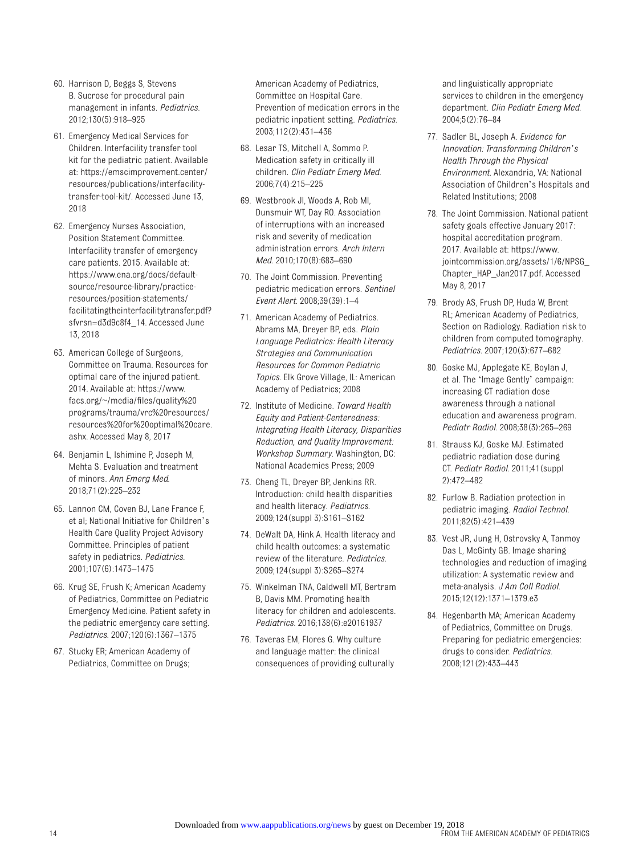- <span id="page-13-0"></span>60. Harrison D, Beggs S, Stevens B. Sucrose for procedural pain management in infants. *Pediatrics*. 2012;130(5):918–925
- <span id="page-13-1"></span>61. Emergency Medical Services for Children. Interfacility transfer tool kit for the pediatric patient. Available at: [https://emscimprovement.center/](https://emscimprovement.center/resources/publications/interfacility-transfer-tool-kit/) [resources/publications/interfacility](https://emscimprovement.center/resources/publications/interfacility-transfer-tool-kit/)[transfer-tool-kit/](https://emscimprovement.center/resources/publications/interfacility-transfer-tool-kit/). Accessed June 13, 2018
- 62. Emergency Nurses Association, Position Statement Committee. Interfacility transfer of emergency care patients. 2015. Available at: [https://www.ena.org/docs/default](https://www.ena.org/docs/default-source/resource-library/practice-resources/position-statements/facilitatingtheinterfacilitytransfer.pdf?sfvrsn=d3d9c8f4_14)[source/resource-library/practice](https://www.ena.org/docs/default-source/resource-library/practice-resources/position-statements/facilitatingtheinterfacilitytransfer.pdf?sfvrsn=d3d9c8f4_14)[resources/position-statements/](https://www.ena.org/docs/default-source/resource-library/practice-resources/position-statements/facilitatingtheinterfacilitytransfer.pdf?sfvrsn=d3d9c8f4_14) [facilitatingtheinterfacilitytransfer.pdf?](https://www.ena.org/docs/default-source/resource-library/practice-resources/position-statements/facilitatingtheinterfacilitytransfer.pdf?sfvrsn=d3d9c8f4_14) [sfvrsn=d3d9c8f4\\_14.](https://www.ena.org/docs/default-source/resource-library/practice-resources/position-statements/facilitatingtheinterfacilitytransfer.pdf?sfvrsn=d3d9c8f4_14) Accessed June 13, 2018
- <span id="page-13-2"></span>63. American College of Surgeons, Committee on Trauma. Resources for optimal care of the injured patient. 2014. Available at: [https://www.](https://www.facs.org/~/media/files/quality%20programs/trauma/vrc%20resources/resources%20for%20optimal%20care.ashx) [facs.org/~/media/files/quality%20](https://www.facs.org/~/media/files/quality%20programs/trauma/vrc%20resources/resources%20for%20optimal%20care.ashx) [programs/trauma/vrc%20resources/](https://www.facs.org/~/media/files/quality%20programs/trauma/vrc%20resources/resources%20for%20optimal%20care.ashx) [resources%20for%20optimal%20care.](https://www.facs.org/~/media/files/quality%20programs/trauma/vrc%20resources/resources%20for%20optimal%20care.ashx) [ashx.](https://www.facs.org/~/media/files/quality%20programs/trauma/vrc%20resources/resources%20for%20optimal%20care.ashx) Accessed May 8, 2017
- <span id="page-13-3"></span>64. Benjamin L, Ishimine P, Joseph M, Mehta S. Evaluation and treatment of minors. *Ann Emerg Med*. 2018;71(2):225–232
- <span id="page-13-4"></span>65. Lannon CM, Coven BJ, Lane France F, et al; National Initiative for Children's Health Care Quality Project Advisory Committee. Principles of patient safety in pediatrics. *Pediatrics*. 2001;107(6):1473–1475
- <span id="page-13-5"></span>66. Krug SE, Frush K; American Academy of Pediatrics, Committee on Pediatric Emergency Medicine. Patient safety in the pediatric emergency care setting. *Pediatrics*. 2007;120(6):1367–1375
- <span id="page-13-6"></span>67. Stucky ER; American Academy of Pediatrics, Committee on Drugs;

American Academy of Pediatrics, Committee on Hospital Care. Prevention of medication errors in the pediatric inpatient setting. *Pediatrics*. 2003;112(2):431–436

- <span id="page-13-7"></span>68. Lesar TS, Mitchell A, Sommo P. Medication safety in critically ill children. *Clin Pediatr Emerg Med*. 2006;7(4):215–225
- <span id="page-13-8"></span>69. Westbrook JI, Woods A, Rob MI, Dunsmuir WT, Day RO. Association of interruptions with an increased risk and severity of medication administration errors. *Arch Intern Med*. 2010;170(8):683–690
- <span id="page-13-9"></span>70. The Joint Commission. Preventing pediatric medication errors. *Sentinel Event Alert*. 2008;39(39):1–4
- <span id="page-13-10"></span>71. American Academy of Pediatrics. Abrams MA, Dreyer BP, eds. *Plain Language Pediatrics: Health Literacy Strategies and Communication Resources for Common Pediatric Topics*. Elk Grove Village, IL: American Academy of Pediatrics; 2008
- 72. Institute of Medicine. *Toward Health Equity and Patient-Centeredness: Integrating Health Literacy, Disparities Reduction, and Quality Improvement: Workshop Summary*. Washington, DC: National Academies Press; 2009
- 73. Cheng TL, Dreyer BP, Jenkins RR. Introduction: child health disparities and health literacy. *Pediatrics*. 2009;124(suppl 3):S161–S162
- 74. DeWalt DA, Hink A. Health literacy and child health outcomes: a systematic review of the literature. *Pediatrics*. 2009;124(suppl 3):S265–S274
- <span id="page-13-11"></span>75. Winkelman TNA, Caldwell MT, Bertram B, Davis MM. Promoting health literacy for children and adolescents. *Pediatrics*. 2016;138(6):e20161937
- <span id="page-13-12"></span>76. Taveras EM, Flores G. Why culture and language matter: the clinical consequences of providing culturally

and linguistically appropriate services to children in the emergency department. *Clin Pediatr Emerg Med*. 2004;5(2):76–84

- <span id="page-13-13"></span>77. Sadler BL, Joseph A. *Evidence for Innovation: Transforming Children's Health Through the Physical Environment*. Alexandria, VA: National Association of Children's Hospitals and Related Institutions; 2008
- <span id="page-13-14"></span>78. The Joint Commission. National patient safety goals effective January 2017: hospital accreditation program. 2017. Available at: [https://www.](https://www.jointcommission.org/assets/1/6/NPSG_Chapter_HAP_Jan2017.pdf) [jointcommission.org/assets/1/6/NPSG\\_](https://www.jointcommission.org/assets/1/6/NPSG_Chapter_HAP_Jan2017.pdf) [Chapter\\_HAP\\_Jan2017.pdf.](https://www.jointcommission.org/assets/1/6/NPSG_Chapter_HAP_Jan2017.pdf) Accessed May 8, 2017
- <span id="page-13-15"></span>79. Brody AS, Frush DP, Huda W, Brent RL; American Academy of Pediatrics, Section on Radiology. Radiation risk to children from computed tomography. *Pediatrics*. 2007;120(3):677–682
- 80. Goske MJ, Applegate KE, Boylan J, et al. The 'Image Gently' campaign: increasing CT radiation dose awareness through a national education and awareness program. *Pediatr Radiol*. 2008;38(3):265–269
- <span id="page-13-16"></span>81. Strauss KJ, Goske MJ. Estimated pediatric radiation dose during CT. *Pediatr Radiol*. 2011;41(suppl 2):472–482
- <span id="page-13-17"></span>82. Furlow B. Radiation protection in pediatric imaging. *Radiol Technol*. 2011;82(5):421–439
- <span id="page-13-18"></span>83. Vest JR, Jung H, Ostrovsky A, Tanmoy Das L, McGinty GB. Image sharing technologies and reduction of imaging utilization: A systematic review and meta-analysis. *J Am Coll Radiol*. 2015;12(12):1371–1379.e3
- <span id="page-13-19"></span>84. Hegenbarth MA; American Academy of Pediatrics, Committee on Drugs. Preparing for pediatric emergencies: drugs to consider. *Pediatrics*. 2008;121(2):433–443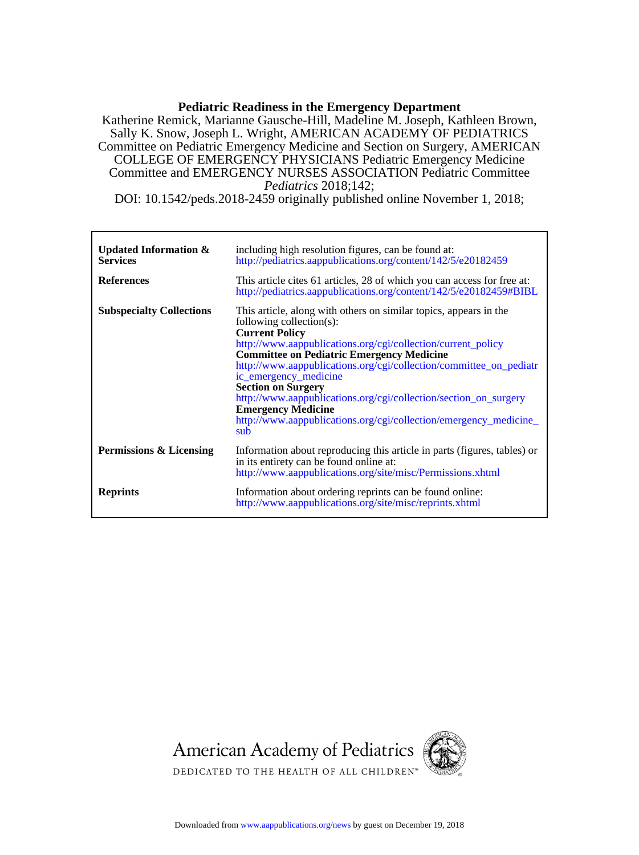# **Pediatric Readiness in the Emergency Department**

*Pediatrics* 2018;142; Committee and EMERGENCY NURSES ASSOCIATION Pediatric Committee COLLEGE OF EMERGENCY PHYSICIANS Pediatric Emergency Medicine Committee on Pediatric Emergency Medicine and Section on Surgery, AMERICAN Sally K. Snow, Joseph L. Wright, AMERICAN ACADEMY OF PEDIATRICS Katherine Remick, Marianne Gausche-Hill, Madeline M. Joseph, Kathleen Brown,

DOI: 10.1542/peds.2018-2459 originally published online November 1, 2018;

| Updated Information $\&$<br><b>Services</b> | including high resolution figures, can be found at:<br>http://pediatrics.aappublications.org/content/142/5/e20182459                                                                                                                                                                                                                                                                                                                                                                                                                                |
|---------------------------------------------|-----------------------------------------------------------------------------------------------------------------------------------------------------------------------------------------------------------------------------------------------------------------------------------------------------------------------------------------------------------------------------------------------------------------------------------------------------------------------------------------------------------------------------------------------------|
| <b>References</b>                           | This article cites 61 articles, 28 of which you can access for free at:<br>http://pediatrics.aappublications.org/content/142/5/e20182459#BIBL                                                                                                                                                                                                                                                                                                                                                                                                       |
| <b>Subspecialty Collections</b>             | This article, along with others on similar topics, appears in the<br>following collection(s):<br><b>Current Policy</b><br>http://www.aappublications.org/cgi/collection/current_policy<br><b>Committee on Pediatric Emergency Medicine</b><br>http://www.aappublications.org/cgi/collection/committee_on_pediatr<br>ic_emergency_medicine<br><b>Section on Surgery</b><br>http://www.aappublications.org/cgi/collection/section_on_surgery<br><b>Emergency Medicine</b><br>http://www.aappublications.org/cgi/collection/emergency_medicine_<br>sub |
| Permissions & Licensing                     | Information about reproducing this article in parts (figures, tables) or<br>in its entirety can be found online at:<br>http://www.aappublications.org/site/misc/Permissions.xhtml                                                                                                                                                                                                                                                                                                                                                                   |
| <b>Reprints</b>                             | Information about ordering reprints can be found online:<br>http://www.aappublications.org/site/misc/reprints.xhtml                                                                                                                                                                                                                                                                                                                                                                                                                                 |